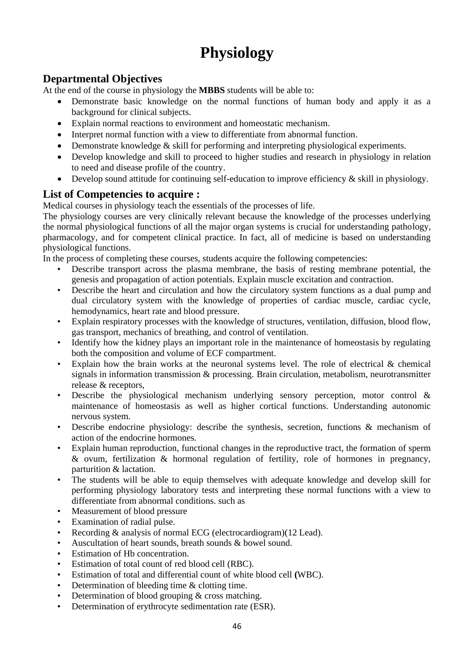# **Physiology**

### **Departmental Objectives**

At the end of the course in physiology the **MBBS** students will be able to:

- Demonstrate basic knowledge on the normal functions of human body and apply it as a background for clinical subjects.
- Explain normal reactions to environment and homeostatic mechanism.
- Interpret normal function with a view to differentiate from abnormal function.
- Demonstrate knowledge & skill for performing and interpreting physiological experiments.
- Develop knowledge and skill to proceed to higher studies and research in physiology in relation to need and disease profile of the country.
- Develop sound attitude for continuing self-education to improve efficiency  $\&$  skill in physiology.

#### **List of Competencies to acquire :**

Medical courses in physiology teach the essentials of the processes of life.

The physiology courses are very clinically relevant because the knowledge of the processes underlying the normal physiological functions of all the major organ systems is crucial for understanding pathology, pharmacology, and for competent clinical practice. In fact, all of medicine is based on understanding physiological functions.

In the process of completing these courses, students acquire the following competencies:

- Describe transport across the plasma membrane, the basis of resting membrane potential, the genesis and propagation of action potentials. Explain muscle excitation and contraction.
- Describe the heart and circulation and how the circulatory system functions as a dual pump and dual circulatory system with the knowledge of properties of cardiac muscle, cardiac cycle, hemodynamics, heart rate and blood pressure.
- Explain respiratory processes with the knowledge of structures, ventilation, diffusion, blood flow, gas transport, mechanics of breathing, and control of ventilation.
- Identify how the kidney plays an important role in the maintenance of homeostasis by regulating both the composition and volume of ECF compartment.
- Explain how the brain works at the neuronal systems level. The role of electrical & chemical signals in information transmission & processing. Brain circulation, metabolism, neurotransmitter release & receptors,
- Describe the physiological mechanism underlying sensory perception, motor control & maintenance of homeostasis as well as higher cortical functions. Understanding autonomic nervous system.
- Describe endocrine physiology: describe the synthesis, secretion, functions  $\&$  mechanism of action of the endocrine hormones.
- Explain human reproduction, functional changes in the reproductive tract, the formation of sperm & ovum, fertilization & hormonal regulation of fertility, role of hormones in pregnancy, parturition & lactation.
- The students will be able to equip themselves with adequate knowledge and develop skill for performing physiology laboratory tests and interpreting these normal functions with a view to differentiate from abnormal conditions. such as
- Measurement of blood pressure
- Examination of radial pulse.
- Recording & analysis of normal ECG (electrocardiogram)(12 Lead).
- Auscultation of heart sounds, breath sounds  $&$  bowel sound.
- Estimation of Hb concentration.
- Estimation of total count of red blood cell (RBC).
- Estimation of total and differential count of white blood cell **(**WBC).
- Determination of bleeding time & clotting time.
- Determination of blood grouping  $&$  cross matching.
- Determination of erythrocyte sedimentation rate (ESR).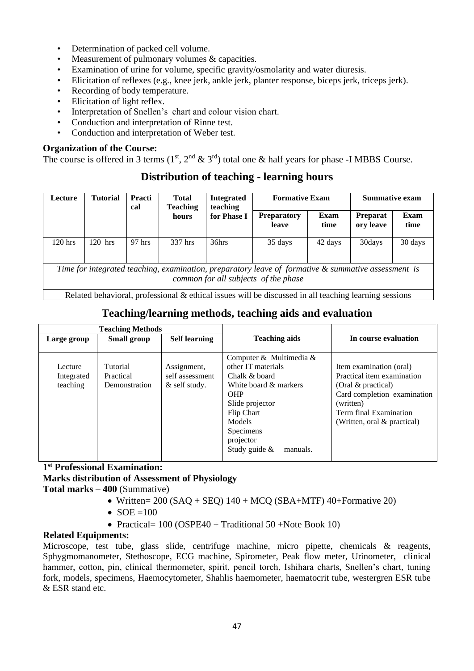- Determination of packed cell volume.
- Measurement of pulmonary volumes  $&$  capacities.
- Examination of urine for volume, specific gravity/osmolarity and water diuresis.
- Elicitation of reflexes (e.g., knee jerk, ankle jerk, planter response, biceps jerk, triceps jerk).
- Recording of body temperature.
- Elicitation of light reflex.
- Interpretation of Snellen's chart and colour vision chart.
- Conduction and interpretation of Rinne test.
- Conduction and interpretation of Weber test.

#### **Organization of the Course:**

The course is offered in 3 terms  $(1<sup>st</sup>, 2<sup>nd</sup> \& 3<sup>rd</sup>)$  total one  $\&$  half years for phase -I MBBS Course.

| Lecture                                                                                                                                     | <b>Tutorial</b> | <b>Practi</b><br>cal | <b>Total</b><br><b>Teaching</b> | <b>Integrated</b><br>teaching | <b>Formative Exam</b>       |              | <b>Summative exam</b>        |              |
|---------------------------------------------------------------------------------------------------------------------------------------------|-----------------|----------------------|---------------------------------|-------------------------------|-----------------------------|--------------|------------------------------|--------------|
|                                                                                                                                             |                 |                      | hours                           | for Phase I                   | <b>Preparatory</b><br>leave | Exam<br>time | <b>Preparat</b><br>ory leave | Exam<br>time |
| $120$ hrs                                                                                                                                   | $120$ hrs       | $97$ hrs             | 337 hrs                         | 36hrs                         | 35 days                     | 42 days      | 30days                       | 30 days      |
| Time for integrated teaching, examination, preparatory leave of formative & summative assessment is<br>common for all subjects of the phase |                 |                      |                                 |                               |                             |              |                              |              |
| Related behavioral, professional & ethical issues will be discussed in all teaching learning sessions                                       |                 |                      |                                 |                               |                             |              |                              |              |

### **Distribution of teaching - learning hours**

### **Teaching/learning methods, teaching aids and evaluation**

| Teaching/Tearning memody reaching and and evaluation |                                        |                                                 |                                                                                                                                                                                                            |                                                                                                                                                                                     |  |
|------------------------------------------------------|----------------------------------------|-------------------------------------------------|------------------------------------------------------------------------------------------------------------------------------------------------------------------------------------------------------------|-------------------------------------------------------------------------------------------------------------------------------------------------------------------------------------|--|
| <b>Teaching Methods</b>                              |                                        |                                                 |                                                                                                                                                                                                            |                                                                                                                                                                                     |  |
| Large group                                          | Small group                            | <b>Self learning</b>                            | <b>Teaching aids</b>                                                                                                                                                                                       | In course evaluation                                                                                                                                                                |  |
| Lecture<br>Integrated<br>teaching                    | Tutorial<br>Practical<br>Demonstration | Assignment,<br>self assessment<br>& self study. | Computer & Multimedia $\&$<br>other IT materials<br>Chalk & board<br>White board & markers<br><b>OHP</b><br>Slide projector<br>Flip Chart<br>Models<br>Specimens<br>projector<br>Study guide &<br>manuals. | Item examination (oral)<br>Practical item examination<br>(Oral & practical)<br>Card completion examination<br>(written)<br>Term final Examination<br>(Written, oral $\&$ practical) |  |

**1 st Professional Examination:** 

**Marks distribution of Assessment of Physiology**

**Total marks – 400** (Summative)

- Written=  $200$  (SAQ + SEQ)  $140 + MCO$  (SBA+MTF)  $40 + F$ ormative 20)
- $SOE = 100$
- Practical= 100 (OSPE40 + Traditional 50 +Note Book 10)

#### **Related Equipments:**

Microscope, test tube, glass slide, centrifuge machine, micro pipette, chemicals & reagents, Sphygmomanometer, Stethoscope, ECG machine, Spirometer, Peak flow meter, Urinometer, clinical hammer, cotton, pin, clinical thermometer, spirit, pencil torch, Ishihara charts, Snellen's chart, tuning fork, models, specimens, Haemocytometer, Shahlis haemometer, haematocrit tube, westergren ESR tube & ESR stand etc.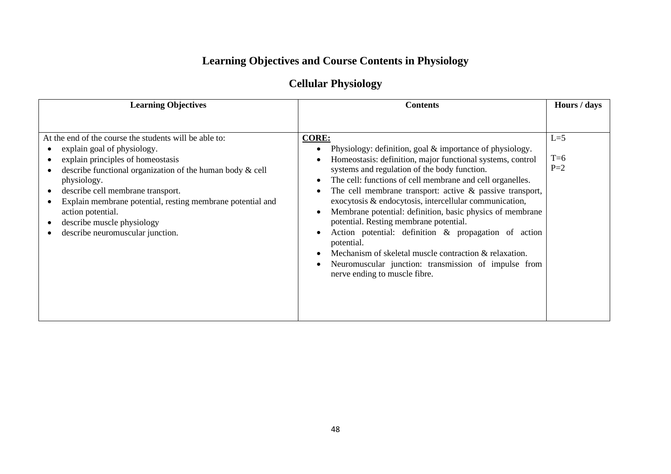## **Learning Objectives and Course Contents in Physiology**

### **Cellular Physiology**

| <b>Learning Objectives</b>                                                                                                                                                                                                                                                                                                                                                                          | <b>Contents</b>                                                                                                                                                                                                                                                                                                                                                                                                                                                                                                                                                                                                                                                                                                                                                                  | Hours / days            |
|-----------------------------------------------------------------------------------------------------------------------------------------------------------------------------------------------------------------------------------------------------------------------------------------------------------------------------------------------------------------------------------------------------|----------------------------------------------------------------------------------------------------------------------------------------------------------------------------------------------------------------------------------------------------------------------------------------------------------------------------------------------------------------------------------------------------------------------------------------------------------------------------------------------------------------------------------------------------------------------------------------------------------------------------------------------------------------------------------------------------------------------------------------------------------------------------------|-------------------------|
| At the end of the course the students will be able to:<br>explain goal of physiology.<br>explain principles of homeostasis<br>describe functional organization of the human body $\&$ cell<br>physiology.<br>describe cell membrane transport.<br>Explain membrane potential, resting membrane potential and<br>action potential.<br>describe muscle physiology<br>describe neuromuscular junction. | <b>CORE:</b><br>Physiology: definition, goal $\&$ importance of physiology.<br>Homeostasis: definition, major functional systems, control<br>systems and regulation of the body function.<br>The cell: functions of cell membrane and cell organelles.<br>$\bullet$<br>The cell membrane transport: active $\&$ passive transport,<br>$\bullet$<br>exocytosis & endocytosis, intercellular communication,<br>Membrane potential: definition, basic physics of membrane<br>$\bullet$<br>potential. Resting membrane potential.<br>Action potential: definition & propagation of action<br>potential.<br>Mechanism of skeletal muscle contraction & relaxation.<br>$\bullet$<br>Neuromuscular junction: transmission of impulse from<br>$\bullet$<br>nerve ending to muscle fibre. | $L=5$<br>$T=6$<br>$P=2$ |
|                                                                                                                                                                                                                                                                                                                                                                                                     |                                                                                                                                                                                                                                                                                                                                                                                                                                                                                                                                                                                                                                                                                                                                                                                  |                         |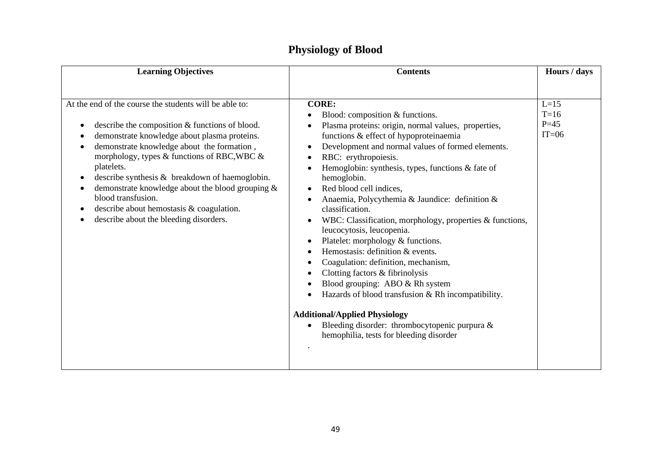| <b>Learning Objectives</b>                                                                                                                                                                                                                                                                                                                                                                                                                                                                                   | <b>Contents</b>                                                                                                                                                                                                                                                                                                                                                                                                                                                                                                                                                                                                                                                                                                                                                                                                                                                                            | Hours / days                            |
|--------------------------------------------------------------------------------------------------------------------------------------------------------------------------------------------------------------------------------------------------------------------------------------------------------------------------------------------------------------------------------------------------------------------------------------------------------------------------------------------------------------|--------------------------------------------------------------------------------------------------------------------------------------------------------------------------------------------------------------------------------------------------------------------------------------------------------------------------------------------------------------------------------------------------------------------------------------------------------------------------------------------------------------------------------------------------------------------------------------------------------------------------------------------------------------------------------------------------------------------------------------------------------------------------------------------------------------------------------------------------------------------------------------------|-----------------------------------------|
|                                                                                                                                                                                                                                                                                                                                                                                                                                                                                                              |                                                                                                                                                                                                                                                                                                                                                                                                                                                                                                                                                                                                                                                                                                                                                                                                                                                                                            |                                         |
| At the end of the course the students will be able to:<br>describe the composition & functions of blood.<br>٠<br>demonstrate knowledge about plasma proteins.<br>demonstrate knowledge about the formation,<br>$\bullet$<br>morphology, types & functions of RBC, WBC &<br>platelets.<br>describe synthesis & breakdown of haemoglobin.<br>٠<br>demonstrate knowledge about the blood grouping &<br>blood transfusion.<br>describe about hemostasis & coagulation.<br>describe about the bleeding disorders. | <b>CORE:</b><br>Blood: composition & functions.<br>Plasma proteins: origin, normal values, properties,<br>functions & effect of hypoproteinaemia<br>Development and normal values of formed elements.<br>$\bullet$<br>RBC: erythropoiesis.<br>Hemoglobin: synthesis, types, functions $\&$ fate of<br>hemoglobin.<br>Red blood cell indices,<br>Anaemia, Polycythemia & Jaundice: definition &<br>classification.<br>WBC: Classification, morphology, properties & functions,<br>leucocytosis, leucopenia.<br>Platelet: morphology & functions.<br>Hemostasis: definition & events.<br>Coagulation: definition, mechanism,<br>Clotting factors & fibrinolysis<br>Blood grouping: ABO & Rh system<br>Hazards of blood transfusion & Rh incompatibility.<br><b>Additional/Applied Physiology</b><br>Bleeding disorder: thrombocytopenic purpura &<br>hemophilia, tests for bleeding disorder | $L=15$<br>$T=16$<br>$P = 45$<br>$IT=06$ |
|                                                                                                                                                                                                                                                                                                                                                                                                                                                                                                              |                                                                                                                                                                                                                                                                                                                                                                                                                                                                                                                                                                                                                                                                                                                                                                                                                                                                                            |                                         |

### **Physiology of Blood**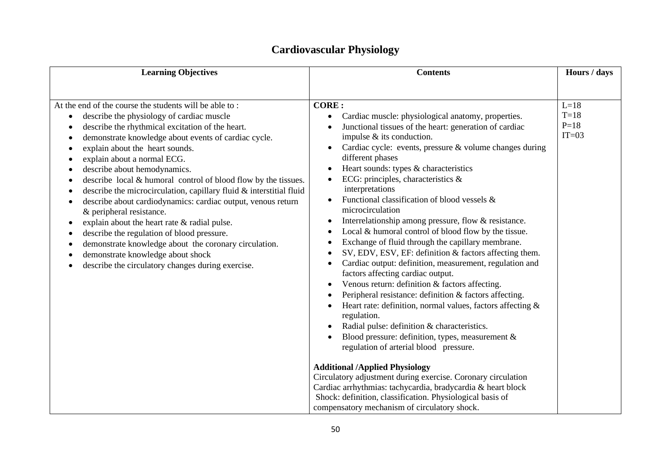| <b>Learning Objectives</b>                                                                                                                                                                                                                                                                                                                                                                                                                                                                                                                                                                                                                                                                                                                                                                                                                                                                                                                                                      | <b>Contents</b>                                                                                                                                                                                                                                                                                                                                                                                                                                                                                                                                                                                                                                                                                                                                                                                                                                                                                                                                                                                                                                                                                                                                                                                                                                                                                          |                                                       |
|---------------------------------------------------------------------------------------------------------------------------------------------------------------------------------------------------------------------------------------------------------------------------------------------------------------------------------------------------------------------------------------------------------------------------------------------------------------------------------------------------------------------------------------------------------------------------------------------------------------------------------------------------------------------------------------------------------------------------------------------------------------------------------------------------------------------------------------------------------------------------------------------------------------------------------------------------------------------------------|----------------------------------------------------------------------------------------------------------------------------------------------------------------------------------------------------------------------------------------------------------------------------------------------------------------------------------------------------------------------------------------------------------------------------------------------------------------------------------------------------------------------------------------------------------------------------------------------------------------------------------------------------------------------------------------------------------------------------------------------------------------------------------------------------------------------------------------------------------------------------------------------------------------------------------------------------------------------------------------------------------------------------------------------------------------------------------------------------------------------------------------------------------------------------------------------------------------------------------------------------------------------------------------------------------|-------------------------------------------------------|
| At the end of the course the students will be able to:<br><b>CORE:</b><br>describe the physiology of cardiac muscle<br>$\bullet$<br>describe the rhythmical excitation of the heart.<br>demonstrate knowledge about events of cardiac cycle.<br>explain about the heart sounds.<br>explain about a normal ECG.<br>describe about hemodynamics.<br>$\bullet$<br>describe local & humoral control of blood flow by the tissues.<br>$\bullet$<br>describe the microcirculation, capillary fluid & interstitial fluid<br>describe about cardiodynamics: cardiac output, venous return<br>& peripheral resistance.<br>explain about the heart rate & radial pulse.<br>$\bullet$<br>describe the regulation of blood pressure.<br>demonstrate knowledge about the coronary circulation.<br>$\bullet$<br>demonstrate knowledge about shock<br>$\bullet$<br>$\bullet$<br>describe the circulatory changes during exercise.<br>$\bullet$<br>compensatory mechanism of circulatory shock. | Cardiac muscle: physiological anatomy, properties.<br>Junctional tissues of the heart: generation of cardiac<br>impulse & its conduction.<br>Cardiac cycle: events, pressure & volume changes during<br>different phases<br>Heart sounds: types & characteristics<br>ECG: principles, characteristics &<br>interpretations<br>Functional classification of blood vessels &<br>microcirculation<br>Interrelationship among pressure, flow & resistance.<br>Local & humoral control of blood flow by the tissue.<br>Exchange of fluid through the capillary membrane.<br>SV, EDV, ESV, EF: definition & factors affecting them.<br>Cardiac output: definition, measurement, regulation and<br>factors affecting cardiac output.<br>Venous return: definition & factors affecting.<br>Peripheral resistance: definition & factors affecting.<br>Heart rate: definition, normal values, factors affecting &<br>regulation.<br>Radial pulse: definition & characteristics.<br>Blood pressure: definition, types, measurement &<br>regulation of arterial blood pressure.<br><b>Additional /Applied Physiology</b><br>Circulatory adjustment during exercise. Coronary circulation<br>Cardiac arrhythmias: tachycardia, bradycardia & heart block<br>Shock: definition, classification. Physiological basis of | Hours / days<br>$L=18$<br>$T=18$<br>$P=18$<br>$IT=03$ |

### **Cardiovascular Physiology**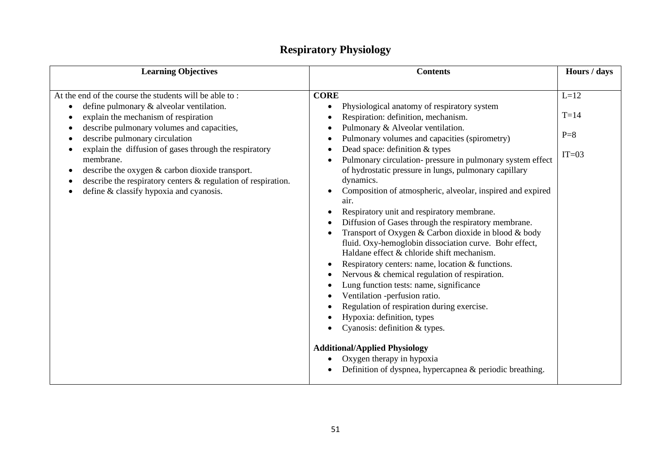| <b>Learning Objectives</b>                                                                                                                                                                                                                                                                                                                                                                                                                                                       | <b>Contents</b>                                                                                                                                                                                                                                                                                                                                                                                                                                                                                                                                                                                                                                                                                                                                                                                                                                                                                                                                                                                                                                                                                          | Hours / days                         |
|----------------------------------------------------------------------------------------------------------------------------------------------------------------------------------------------------------------------------------------------------------------------------------------------------------------------------------------------------------------------------------------------------------------------------------------------------------------------------------|----------------------------------------------------------------------------------------------------------------------------------------------------------------------------------------------------------------------------------------------------------------------------------------------------------------------------------------------------------------------------------------------------------------------------------------------------------------------------------------------------------------------------------------------------------------------------------------------------------------------------------------------------------------------------------------------------------------------------------------------------------------------------------------------------------------------------------------------------------------------------------------------------------------------------------------------------------------------------------------------------------------------------------------------------------------------------------------------------------|--------------------------------------|
| At the end of the course the students will be able to:<br>define pulmonary & alveolar ventilation.<br>explain the mechanism of respiration<br>$\bullet$<br>describe pulmonary volumes and capacities,<br>describe pulmonary circulation<br>explain the diffusion of gases through the respiratory<br>membrane.<br>describe the oxygen & carbon dioxide transport.<br>describe the respiratory centers $\&$ regulation of respiration.<br>define & classify hypoxia and cyanosis. | <b>CORE</b><br>Physiological anatomy of respiratory system<br>$\bullet$<br>Respiration: definition, mechanism.<br>Pulmonary & Alveolar ventilation.<br>Pulmonary volumes and capacities (spirometry)<br>٠<br>Dead space: definition & types<br>$\bullet$<br>Pulmonary circulation- pressure in pulmonary system effect<br>$\bullet$<br>of hydrostatic pressure in lungs, pulmonary capillary<br>dynamics.<br>Composition of atmospheric, alveolar, inspired and expired<br>air.<br>Respiratory unit and respiratory membrane.<br>Diffusion of Gases through the respiratory membrane.<br>Transport of Oxygen & Carbon dioxide in blood & body<br>$\bullet$<br>fluid. Oxy-hemoglobin dissociation curve. Bohr effect,<br>Haldane effect & chloride shift mechanism.<br>Respiratory centers: name, location & functions.<br>Nervous & chemical regulation of respiration.<br>Lung function tests: name, significance<br>Ventilation -perfusion ratio.<br>Regulation of respiration during exercise.<br>Hypoxia: definition, types<br>Cyanosis: definition & types.<br><b>Additional/Applied Physiology</b> | $L=12$<br>$T=14$<br>$P=8$<br>$IT=03$ |
|                                                                                                                                                                                                                                                                                                                                                                                                                                                                                  | Oxygen therapy in hypoxia<br>$\bullet$<br>Definition of dyspnea, hypercapnea & periodic breathing.                                                                                                                                                                                                                                                                                                                                                                                                                                                                                                                                                                                                                                                                                                                                                                                                                                                                                                                                                                                                       |                                      |
|                                                                                                                                                                                                                                                                                                                                                                                                                                                                                  |                                                                                                                                                                                                                                                                                                                                                                                                                                                                                                                                                                                                                                                                                                                                                                                                                                                                                                                                                                                                                                                                                                          |                                      |

### **Respiratory Physiology**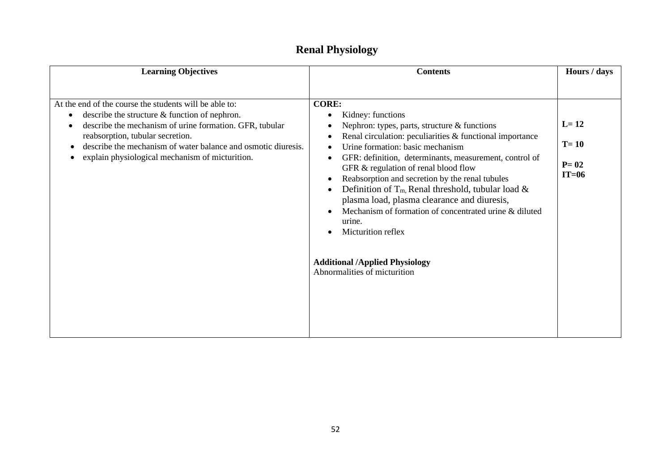| <b>CORE:</b><br>describe the structure $&$ function of nephron.<br>Kidney: functions<br>٠<br>$L=12$                                                                                                                                                                                                                                                                                                                                                                                                                                                                                                                                                                                                                                  | <b>Learning Objectives</b>                                                                                        | <b>Contents</b>                                | Hours / days |
|--------------------------------------------------------------------------------------------------------------------------------------------------------------------------------------------------------------------------------------------------------------------------------------------------------------------------------------------------------------------------------------------------------------------------------------------------------------------------------------------------------------------------------------------------------------------------------------------------------------------------------------------------------------------------------------------------------------------------------------|-------------------------------------------------------------------------------------------------------------------|------------------------------------------------|--------------|
| reabsorption, tubular secretion.<br>Renal circulation: peculiarities & functional importance<br>$T = 10$<br>describe the mechanism of water balance and osmotic diuresis.<br>Urine formation: basic mechanism<br>explain physiological mechanism of micturition.<br>GFR: definition, determinants, measurement, control of<br>$P = 02$<br>GFR & regulation of renal blood flow<br>$IT=06$<br>Reabsorption and secretion by the renal tubules<br>$\bullet$<br>Definition of $T_m$ , Renal threshold, tubular load &<br>plasma load, plasma clearance and diuresis,<br>Mechanism of formation of concentrated urine & diluted<br>urine.<br>Micturition reflex<br><b>Additional /Applied Physiology</b><br>Abnormalities of micturition | At the end of the course the students will be able to:<br>describe the mechanism of urine formation. GFR, tubular | Nephron: types, parts, structure $&$ functions |              |

### **Renal Physiology**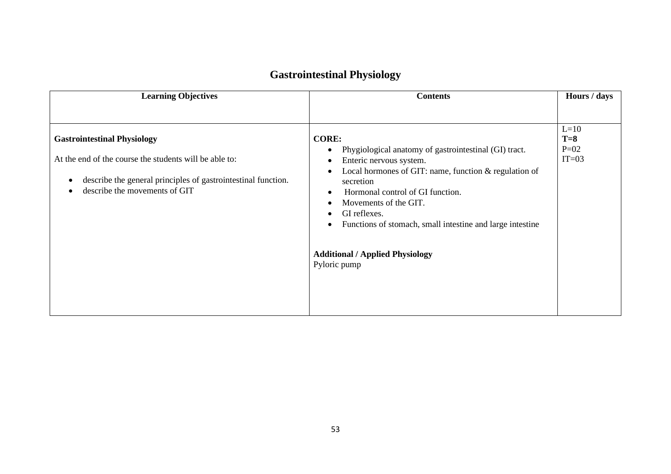| <b>Learning Objectives</b>                                                                                                                                                                     | <b>Contents</b>                                                                                                                                                                                                                                                                                                                                                                                                                                    | Hours / days                         |
|------------------------------------------------------------------------------------------------------------------------------------------------------------------------------------------------|----------------------------------------------------------------------------------------------------------------------------------------------------------------------------------------------------------------------------------------------------------------------------------------------------------------------------------------------------------------------------------------------------------------------------------------------------|--------------------------------------|
| <b>Gastrointestinal Physiology</b><br>At the end of the course the students will be able to:<br>describe the general principles of gastrointestinal function.<br>describe the movements of GIT | <b>CORE:</b><br>Phygiological anatomy of gastrointestinal (GI) tract.<br>$\bullet$<br>Enteric nervous system.<br>٠<br>Local hormones of GIT: name, function $&$ regulation of<br>$\bullet$<br>secretion<br>Hormonal control of GI function.<br>$\bullet$<br>Movements of the GIT.<br>GI reflexes.<br>$\bullet$<br>Functions of stomach, small intestine and large intestine<br>$\bullet$<br><b>Additional / Applied Physiology</b><br>Pyloric pump | $L=10$<br>$T=8$<br>$P=02$<br>$IT=03$ |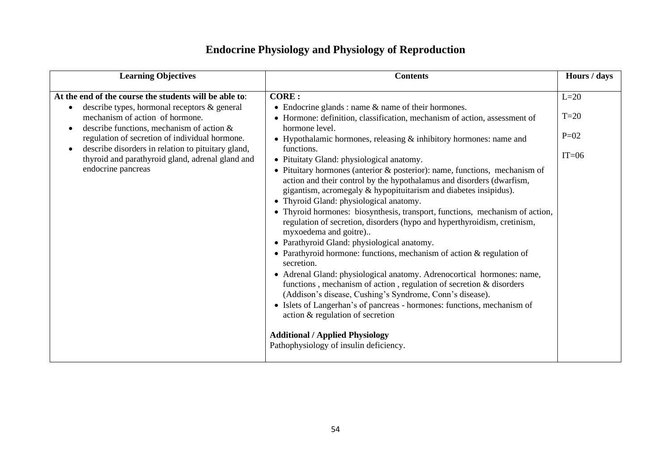## **Endocrine Physiology and Physiology of Reproduction**

| <b>Learning Objectives</b>                                                                                                                                                                                                                                                                                                                                                  | <b>Contents</b>                                                                                                                                                                                                                                                                                                                                                                                                                                                                                                                                                                                                                                                                                                                                                                                                                                                                                                                                                                                                                                                                                                                                                                                                                                                                                                         | Hours / days                          |
|-----------------------------------------------------------------------------------------------------------------------------------------------------------------------------------------------------------------------------------------------------------------------------------------------------------------------------------------------------------------------------|-------------------------------------------------------------------------------------------------------------------------------------------------------------------------------------------------------------------------------------------------------------------------------------------------------------------------------------------------------------------------------------------------------------------------------------------------------------------------------------------------------------------------------------------------------------------------------------------------------------------------------------------------------------------------------------------------------------------------------------------------------------------------------------------------------------------------------------------------------------------------------------------------------------------------------------------------------------------------------------------------------------------------------------------------------------------------------------------------------------------------------------------------------------------------------------------------------------------------------------------------------------------------------------------------------------------------|---------------------------------------|
| At the end of the course the students will be able to:<br>describe types, hormonal receptors & general<br>mechanism of action of hormone.<br>describe functions, mechanism of action $\&$<br>regulation of secretion of individual hormone.<br>describe disorders in relation to pituitary gland,<br>thyroid and parathyroid gland, adrenal gland and<br>endocrine pancreas | <b>CORE:</b><br>• Endocrine glands : name $\&$ name of their hormones.<br>• Hormone: definition, classification, mechanism of action, assessment of<br>hormone level.<br>• Hypothalamic hormones, releasing & inhibitory hormones: name and<br>functions.<br>• Pituitaty Gland: physiological anatomy.<br>• Pituitary hormones (anterior & posterior): name, functions, mechanism of<br>action and their control by the hypothalamus and disorders (dwarfism,<br>gigantism, acromegaly & hypopituitarism and diabetes insipidus).<br>• Thyroid Gland: physiological anatomy.<br>• Thyroid hormones: biosynthesis, transport, functions, mechanism of action,<br>regulation of secretion, disorders (hypo and hyperthyroidism, cretinism,<br>myxoedema and goitre)<br>• Parathyroid Gland: physiological anatomy.<br>• Parathyroid hormone: functions, mechanism of action & regulation of<br>secretion.<br>• Adrenal Gland: physiological anatomy. Adrenocortical hormones: name,<br>functions, mechanism of action, regulation of secretion & disorders<br>(Addison's disease, Cushing's Syndrome, Conn's disease).<br>• Islets of Langerhan's of pancreas - hormones: functions, mechanism of<br>action & regulation of secretion<br><b>Additional / Applied Physiology</b><br>Pathophysiology of insulin deficiency. | $L=20$<br>$T=20$<br>$P=02$<br>$IT=06$ |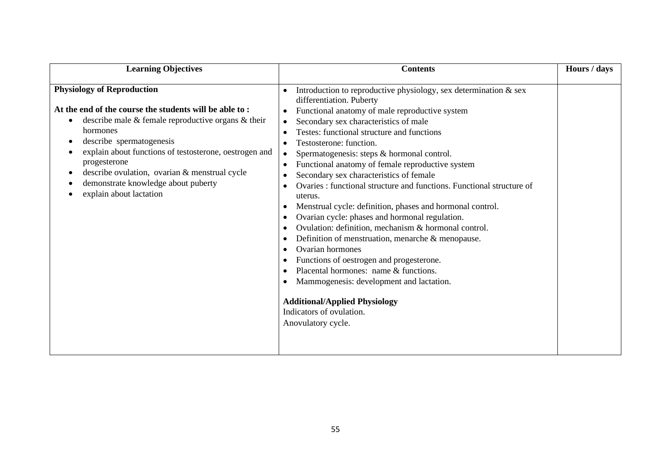| <b>Learning Objectives</b>                                                                                                                                                                                                                                                                                                                                                                   | <b>Contents</b>                                                                                                                                                                                                                                                                                                                                                                                                                                                                                                                                                                                                                                                                                                                                                                                                                                                                                                                                                                                                                        | Hours / days |
|----------------------------------------------------------------------------------------------------------------------------------------------------------------------------------------------------------------------------------------------------------------------------------------------------------------------------------------------------------------------------------------------|----------------------------------------------------------------------------------------------------------------------------------------------------------------------------------------------------------------------------------------------------------------------------------------------------------------------------------------------------------------------------------------------------------------------------------------------------------------------------------------------------------------------------------------------------------------------------------------------------------------------------------------------------------------------------------------------------------------------------------------------------------------------------------------------------------------------------------------------------------------------------------------------------------------------------------------------------------------------------------------------------------------------------------------|--------------|
| <b>Physiology of Reproduction</b><br>At the end of the course the students will be able to:<br>describe male $\&$ female reproductive organs $\&$ their<br>hormones<br>describe spermatogenesis<br>explain about functions of testosterone, oestrogen and<br>progesterone<br>describe ovulation, ovarian & menstrual cycle<br>demonstrate knowledge about puberty<br>explain about lactation | Introduction to reproductive physiology, sex determination $\&$ sex<br>differentiation. Puberty<br>Functional anatomy of male reproductive system<br>$\bullet$<br>Secondary sex characteristics of male<br>$\bullet$<br>Testes: functional structure and functions<br>Testosterone: function.<br>Spermatogenesis: steps & hormonal control.<br>$\bullet$<br>Functional anatomy of female reproductive system<br>$\bullet$<br>Secondary sex characteristics of female<br>Ovaries : functional structure and functions. Functional structure of<br>uterus.<br>Menstrual cycle: definition, phases and hormonal control.<br>Ovarian cycle: phases and hormonal regulation.<br>Ovulation: definition, mechanism & hormonal control.<br>Definition of menstruation, menarche $\&$ menopause.<br>Ovarian hormones<br>Functions of oestrogen and progesterone.<br>Placental hormones: name & functions.<br>Mammogenesis: development and lactation.<br><b>Additional/Applied Physiology</b><br>Indicators of ovulation.<br>Anovulatory cycle. |              |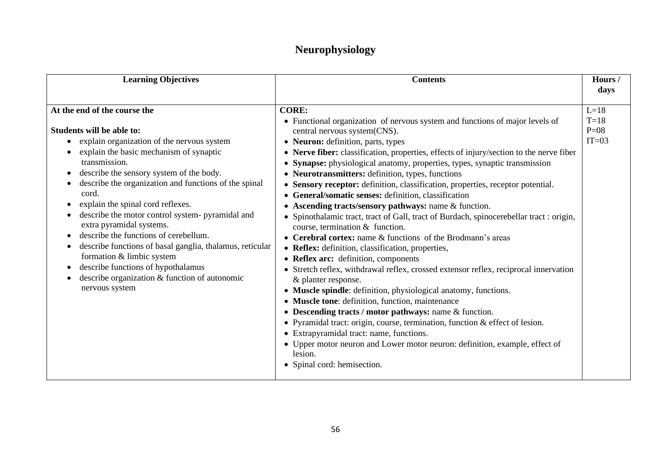### **Neurophysiology**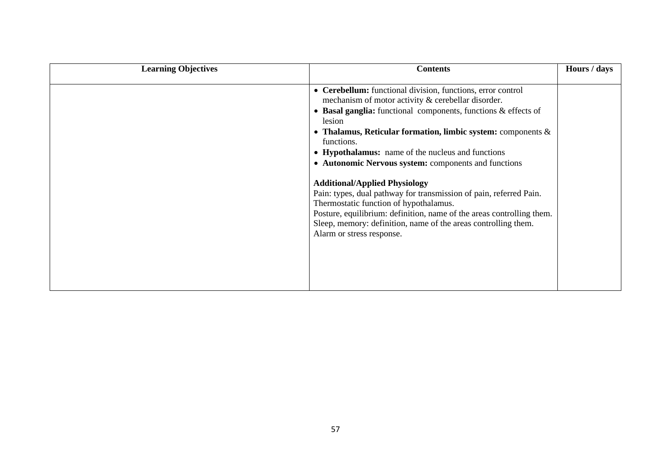| <b>Learning Objectives</b> | <b>Contents</b>                                                                                                                                                                                                                                                                                                                                                                                                                                                                                                                                                                                                                                                                                                                | Hours / days |
|----------------------------|--------------------------------------------------------------------------------------------------------------------------------------------------------------------------------------------------------------------------------------------------------------------------------------------------------------------------------------------------------------------------------------------------------------------------------------------------------------------------------------------------------------------------------------------------------------------------------------------------------------------------------------------------------------------------------------------------------------------------------|--------------|
|                            | • Cerebellum: functional division, functions, error control<br>mechanism of motor activity & cerebellar disorder.<br>• Basal ganglia: functional components, functions $\&$ effects of<br>lesion<br>• Thalamus, Reticular formation, limbic system: components $\&$<br>functions.<br>• Hypothalamus: name of the nucleus and functions<br>• Autonomic Nervous system: components and functions<br><b>Additional/Applied Physiology</b><br>Pain: types, dual pathway for transmission of pain, referred Pain.<br>Thermostatic function of hypothalamus.<br>Posture, equilibrium: definition, name of the areas controlling them.<br>Sleep, memory: definition, name of the areas controlling them.<br>Alarm or stress response. |              |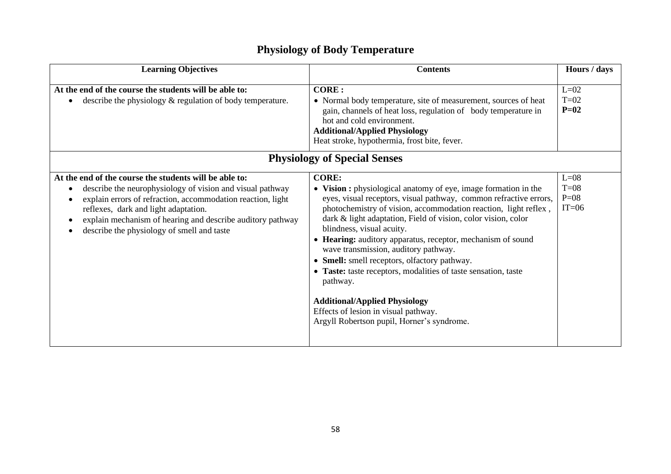## **Physiology of Body Temperature**

| <b>Learning Objectives</b>                                                                                                                                                                                                                                                                                                             | <b>Contents</b>                                                                                                                                                                                                                                                                                                                                                                                                                                                                                                                                                                                                                                                                          | Hours / days                          |
|----------------------------------------------------------------------------------------------------------------------------------------------------------------------------------------------------------------------------------------------------------------------------------------------------------------------------------------|------------------------------------------------------------------------------------------------------------------------------------------------------------------------------------------------------------------------------------------------------------------------------------------------------------------------------------------------------------------------------------------------------------------------------------------------------------------------------------------------------------------------------------------------------------------------------------------------------------------------------------------------------------------------------------------|---------------------------------------|
| At the end of the course the students will be able to:<br>describe the physiology $\&$ regulation of body temperature.                                                                                                                                                                                                                 | <b>CORE:</b><br>• Normal body temperature, site of measurement, sources of heat<br>gain, channels of heat loss, regulation of body temperature in<br>hot and cold environment.<br><b>Additional/Applied Physiology</b><br>Heat stroke, hypothermia, frost bite, fever.                                                                                                                                                                                                                                                                                                                                                                                                                   | $L=02$<br>$T=02$<br>$P=02$            |
|                                                                                                                                                                                                                                                                                                                                        | <b>Physiology of Special Senses</b>                                                                                                                                                                                                                                                                                                                                                                                                                                                                                                                                                                                                                                                      |                                       |
| At the end of the course the students will be able to:<br>describe the neurophysiology of vision and visual pathway<br>explain errors of refraction, accommodation reaction, light<br>reflexes, dark and light adaptation.<br>explain mechanism of hearing and describe auditory pathway<br>describe the physiology of smell and taste | <b>CORE:</b><br>• Vision : physiological anatomy of eye, image formation in the<br>eyes, visual receptors, visual pathway, common refractive errors,<br>photochemistry of vision, accommodation reaction, light reflex,<br>dark & light adaptation, Field of vision, color vision, color<br>blindness, visual acuity.<br>• Hearing: auditory apparatus, receptor, mechanism of sound<br>wave transmission, auditory pathway.<br>• Smell: smell receptors, olfactory pathway.<br>• Taste: taste receptors, modalities of taste sensation, taste<br>pathway.<br><b>Additional/Applied Physiology</b><br>Effects of lesion in visual pathway.<br>Argyll Robertson pupil, Horner's syndrome. | $L=08$<br>$T=08$<br>$P=08$<br>$IT=06$ |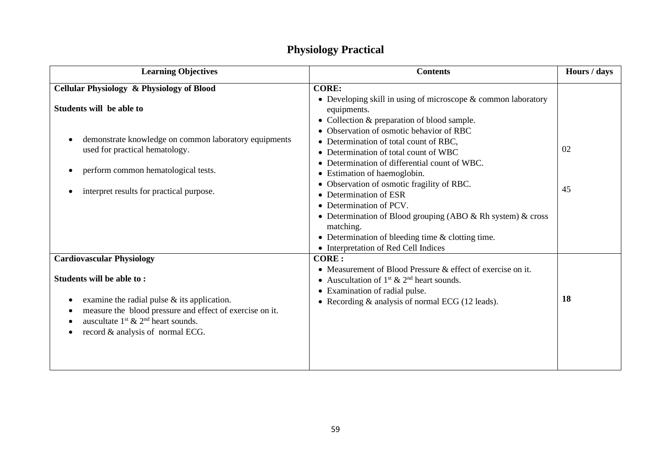| <b>Contents</b>                                                                                                                                                                                                                                                                                                                                                                                                                                                                                                                                                                                                                      | Hours / days                         |  |
|--------------------------------------------------------------------------------------------------------------------------------------------------------------------------------------------------------------------------------------------------------------------------------------------------------------------------------------------------------------------------------------------------------------------------------------------------------------------------------------------------------------------------------------------------------------------------------------------------------------------------------------|--------------------------------------|--|
| <b>CORE:</b>                                                                                                                                                                                                                                                                                                                                                                                                                                                                                                                                                                                                                         |                                      |  |
| • Developing skill in using of microscope & common laboratory<br>equipments.<br>Collection & preparation of blood sample.<br>$\bullet$<br>Observation of osmotic behavior of RBC<br>$\bullet$<br>• Determination of total count of RBC,<br>Determination of total count of WBC<br>$\bullet$<br>Determination of differential count of WBC.<br>• Estimation of haemoglobin.<br>Observation of osmotic fragility of RBC.<br>$\bullet$<br>Determination of ESR<br>$\bullet$<br>• Determination of PCV.<br>• Determination of Blood grouping (ABO & Rh system) & cross<br>matching.<br>• Determination of bleeding time & clotting time. | 02<br>45                             |  |
| <b>CORE:</b>                                                                                                                                                                                                                                                                                                                                                                                                                                                                                                                                                                                                                         |                                      |  |
| • Measurement of Blood Pressure & effect of exercise on it.<br>• Auscultation of $1st$ & $2nd$ heart sounds.<br>• Examination of radial pulse.<br>• Recording & analysis of normal ECG (12 leads).                                                                                                                                                                                                                                                                                                                                                                                                                                   | 18                                   |  |
|                                                                                                                                                                                                                                                                                                                                                                                                                                                                                                                                                                                                                                      | • Interpretation of Red Cell Indices |  |

### **Physiology Practical**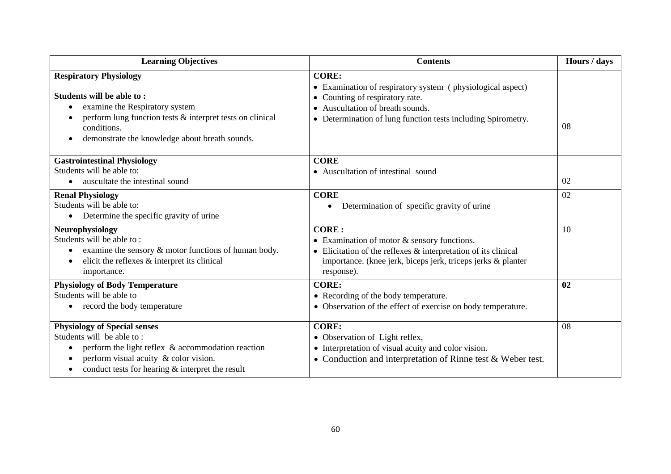| <b>Learning Objectives</b>                                                                                                                                                                                                                   | <b>Contents</b>                                                                                                                                                                                                          | Hours / days |
|----------------------------------------------------------------------------------------------------------------------------------------------------------------------------------------------------------------------------------------------|--------------------------------------------------------------------------------------------------------------------------------------------------------------------------------------------------------------------------|--------------|
| <b>Respiratory Physiology</b><br>Students will be able to:<br>examine the Respiratory system<br>perform lung function tests & interpret tests on clinical<br>conditions.<br>demonstrate the knowledge about breath sounds.<br>$\bullet$      | <b>CORE:</b><br>• Examination of respiratory system (physiological aspect)<br>• Counting of respiratory rate.<br>• Auscultation of breath sounds.<br>• Determination of lung function tests including Spirometry.        | 08           |
| <b>Gastrointestinal Physiology</b><br>Students will be able to:<br>auscultate the intestinal sound                                                                                                                                           | <b>CORE</b><br>• Auscultation of intestinal sound                                                                                                                                                                        | 02           |
| <b>Renal Physiology</b><br>Students will be able to:<br>Determine the specific gravity of urine                                                                                                                                              | <b>CORE</b><br>Determination of specific gravity of urine<br>٠                                                                                                                                                           | 02           |
| Neurophysiology<br>Students will be able to:<br>examine the sensory $\&$ motor functions of human body.<br>elicit the reflexes $\&$ interpret its clinical<br>importance.                                                                    | <b>CORE:</b><br>• Examination of motor $&$ sensory functions.<br>$\bullet$ Elicitation of the reflexes $\&$ interpretation of its clinical<br>importance. (knee jerk, biceps jerk, triceps jerks & planter<br>response). | 10           |
| <b>Physiology of Body Temperature</b><br>Students will be able to<br>record the body temperature<br>$\bullet$                                                                                                                                | <b>CORE:</b><br>• Recording of the body temperature.<br>• Observation of the effect of exercise on body temperature.                                                                                                     | 02           |
| <b>Physiology of Special senses</b><br>Students will be able to:<br>perform the light reflex & accommodation reaction<br>perform visual acuity & color vision.<br>$\bullet$<br>conduct tests for hearing & interpret the result<br>$\bullet$ | <b>CORE:</b><br>• Observation of Light reflex,<br>• Interpretation of visual acuity and color vision.<br>• Conduction and interpretation of Rinne test $&$ Weber test.                                                   | 08           |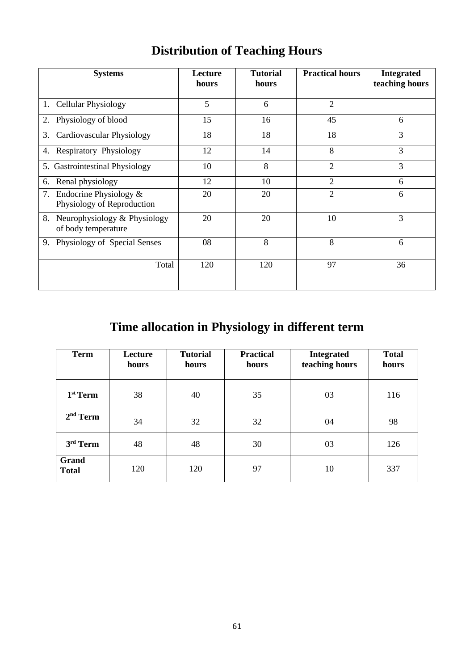|  | <b>Distribution of Teaching Hours</b> |
|--|---------------------------------------|
|--|---------------------------------------|

| <b>Systems</b>                                            | Lecture<br>hours | <b>Tutorial</b><br>hours | <b>Practical hours</b> | <b>Integrated</b><br>teaching hours |
|-----------------------------------------------------------|------------------|--------------------------|------------------------|-------------------------------------|
| 1. Cellular Physiology                                    | 5                | 6                        | $\overline{2}$         |                                     |
| 2. Physiology of blood                                    | 15               | 16                       | 45                     | 6                                   |
| <b>Cardiovascular Physiology</b><br>3.                    | 18               | 18                       | 18                     | 3                                   |
| <b>Respiratory Physiology</b><br>4.                       | 12               | 14                       | 8                      | 3                                   |
| 5. Gastrointestinal Physiology                            | 10               | 8                        | $\overline{2}$         | 3                                   |
| Renal physiology<br>6.                                    | 12               | 10                       | 2                      | 6                                   |
| 7. Endocrine Physiology $&$<br>Physiology of Reproduction | 20               | 20                       | $\overline{2}$         | 6                                   |
| 8. Neurophysiology & Physiology<br>of body temperature    | 20               | 20                       | 10                     | 3                                   |
| 9. Physiology of Special Senses                           | 08               | 8                        | 8                      | 6                                   |
| Total                                                     | 120              | 120                      | 97                     | 36                                  |

## **Time allocation in Physiology in different term**

| <b>Term</b>           | Lecture<br>hours | <b>Tutorial</b><br>hours | <b>Practical</b><br>hours | <b>Integrated</b><br>teaching hours | <b>Total</b><br>hours |
|-----------------------|------------------|--------------------------|---------------------------|-------------------------------------|-----------------------|
| 1 <sup>st</sup> Term  | 38               | 40                       | 35                        | 03                                  | 116                   |
| $2nd$ Term            | 34               | 32                       | 32                        | 04                                  | 98                    |
| 3rd Term              | 48               | 48                       | 30                        | 03                                  | 126                   |
| Grand<br><b>Total</b> | 120              | 120                      | 97                        | 10                                  | 337                   |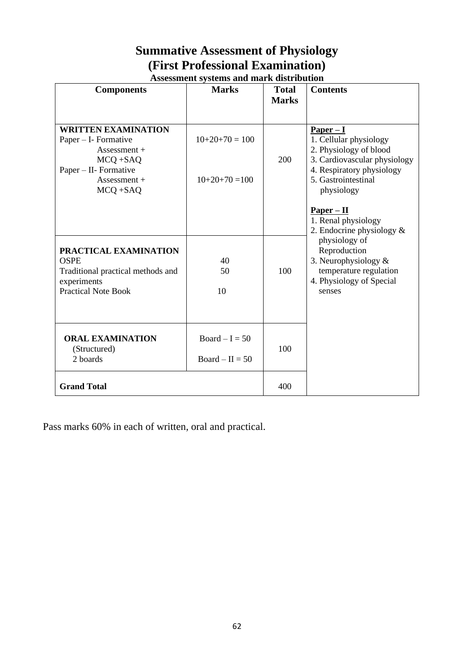## **Summative Assessment of Physiology (First Professional Examination)**

|                                                  | <b>Assessment systems and mark distribution</b> |              |                                                   |  |  |  |
|--------------------------------------------------|-------------------------------------------------|--------------|---------------------------------------------------|--|--|--|
| <b>Components</b>                                | <b>Marks</b>                                    | <b>Total</b> | <b>Contents</b>                                   |  |  |  |
|                                                  |                                                 | <b>Marks</b> |                                                   |  |  |  |
|                                                  |                                                 |              |                                                   |  |  |  |
| <b>WRITTEN EXAMINATION</b>                       |                                                 |              | $Paper - I$                                       |  |  |  |
| Paper – I- Formative                             | $10+20+70=100$                                  |              | 1. Cellular physiology                            |  |  |  |
| Assessment +                                     |                                                 |              | 2. Physiology of blood                            |  |  |  |
| MCQ +SAQ                                         |                                                 | 200          | 3. Cardiovascular physiology                      |  |  |  |
| $Paper - II - Formative$<br>$Assessment +$       | $10+20+70=100$                                  |              | 4. Respiratory physiology<br>5. Gastrointestinal  |  |  |  |
| $MCQ + SAQ$                                      |                                                 |              | physiology                                        |  |  |  |
|                                                  |                                                 |              |                                                   |  |  |  |
|                                                  |                                                 |              | $Paper - II$                                      |  |  |  |
|                                                  |                                                 |              | 1. Renal physiology                               |  |  |  |
|                                                  |                                                 |              | 2. Endocrine physiology &                         |  |  |  |
|                                                  |                                                 |              | physiology of                                     |  |  |  |
| PRACTICAL EXAMINATION                            |                                                 |              | Reproduction                                      |  |  |  |
| <b>OSPE</b><br>Traditional practical methods and | 40<br>50                                        | 100          | 3. Neurophysiology $\&$<br>temperature regulation |  |  |  |
| experiments                                      |                                                 |              | 4. Physiology of Special                          |  |  |  |
| <b>Practical Note Book</b>                       | 10                                              |              | senses                                            |  |  |  |
|                                                  |                                                 |              |                                                   |  |  |  |
|                                                  |                                                 |              |                                                   |  |  |  |
|                                                  |                                                 |              |                                                   |  |  |  |
| <b>ORAL EXAMINATION</b>                          | $Board - I = 50$                                |              |                                                   |  |  |  |
| (Structured)                                     |                                                 | 100          |                                                   |  |  |  |
| 2 boards                                         | $Board - II = 50$                               |              |                                                   |  |  |  |
|                                                  |                                                 |              |                                                   |  |  |  |
| <b>Grand Total</b>                               |                                                 | 400          |                                                   |  |  |  |

Pass marks 60% in each of written, oral and practical.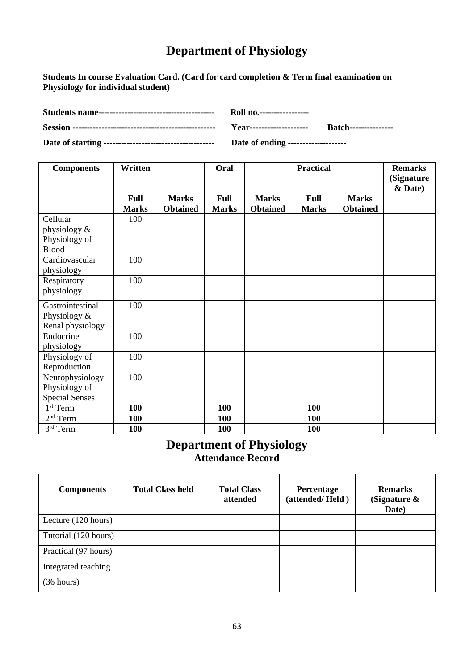## **Department of Physiology**

**Students In course Evaluation Card. (Card for card completion & Term final examination on Physiology for individual student)**

| Date of ending -------------------- |  |
|-------------------------------------|--|

| <b>Components</b>     | Written      |                 | Oral         |                 | <b>Practical</b> |                 | <b>Remarks</b> |
|-----------------------|--------------|-----------------|--------------|-----------------|------------------|-----------------|----------------|
|                       |              |                 |              |                 |                  |                 | (Signature     |
|                       |              |                 |              |                 |                  |                 | & Date)        |
|                       | Full         | <b>Marks</b>    | Full         | <b>Marks</b>    | Full             | <b>Marks</b>    |                |
|                       | <b>Marks</b> | <b>Obtained</b> | <b>Marks</b> | <b>Obtained</b> | <b>Marks</b>     | <b>Obtained</b> |                |
| Cellular              | 100          |                 |              |                 |                  |                 |                |
| physiology &          |              |                 |              |                 |                  |                 |                |
| Physiology of         |              |                 |              |                 |                  |                 |                |
| <b>Blood</b>          |              |                 |              |                 |                  |                 |                |
| Cardiovascular        | 100          |                 |              |                 |                  |                 |                |
| physiology            |              |                 |              |                 |                  |                 |                |
| Respiratory           | 100          |                 |              |                 |                  |                 |                |
| physiology            |              |                 |              |                 |                  |                 |                |
| Gastrointestinal      | 100          |                 |              |                 |                  |                 |                |
| Physiology &          |              |                 |              |                 |                  |                 |                |
| Renal physiology      |              |                 |              |                 |                  |                 |                |
| Endocrine             | 100          |                 |              |                 |                  |                 |                |
| physiology            |              |                 |              |                 |                  |                 |                |
| Physiology of         | 100          |                 |              |                 |                  |                 |                |
| Reproduction          |              |                 |              |                 |                  |                 |                |
| Neurophysiology       | 100          |                 |              |                 |                  |                 |                |
| Physiology of         |              |                 |              |                 |                  |                 |                |
| <b>Special Senses</b> |              |                 |              |                 |                  |                 |                |
| 1 <sup>st</sup> Term  | 100          |                 | 100          |                 | 100              |                 |                |
| $2nd$ Term            | 100          |                 | 100          |                 | 100              |                 |                |
| $3rd$ Term            | 100          |                 | 100          |                 | 100              |                 |                |

### **Department of Physiology Attendance Record**

| <b>Components</b>    | <b>Total Class held</b> | <b>Total Class</b><br>attended | <b>Percentage</b><br>(attended/Held) | <b>Remarks</b><br>(Signature $\&$<br>Date) |
|----------------------|-------------------------|--------------------------------|--------------------------------------|--------------------------------------------|
| Lecture (120 hours)  |                         |                                |                                      |                                            |
| Tutorial (120 hours) |                         |                                |                                      |                                            |
| Practical (97 hours) |                         |                                |                                      |                                            |
| Integrated teaching  |                         |                                |                                      |                                            |
| (36 hours)           |                         |                                |                                      |                                            |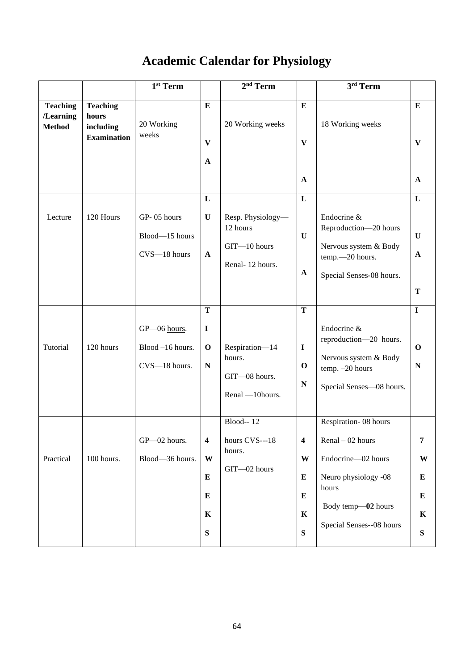# **Academic Calendar for Physiology**

|                                               |                                                             | $1st$ Term                                        |                                                                                    | $2nd$ Term                                                       |                                                                          | $3rd$ Term                                                                                                                                          |                                           |
|-----------------------------------------------|-------------------------------------------------------------|---------------------------------------------------|------------------------------------------------------------------------------------|------------------------------------------------------------------|--------------------------------------------------------------------------|-----------------------------------------------------------------------------------------------------------------------------------------------------|-------------------------------------------|
| <b>Teaching</b><br>/Learning<br><b>Method</b> | <b>Teaching</b><br>hours<br>including<br><b>Examination</b> | 20 Working<br>weeks                               | ${\bf E}$<br>$\mathbf{V}$<br>$\mathbf{A}$                                          | 20 Working weeks                                                 | ${\bf E}$<br>$\mathbf{V}$<br>$\mathbf{A}$                                | 18 Working weeks                                                                                                                                    | ${\bf E}$<br>$\mathbf{V}$<br>$\mathbf{A}$ |
| Lecture                                       | 120 Hours                                                   | GP-05 hours<br>Blood-15 hours<br>CVS-18 hours     | L<br>$\mathbf U$<br>$\mathbf{A}$                                                   | Resp. Physiology-<br>12 hours<br>GIT-10 hours<br>Renal-12 hours. | $\mathbf L$<br>$\mathbf U$<br>$\mathbf A$                                | Endocrine &<br>Reproduction-20 hours<br>Nervous system & Body<br>temp.-20 hours.<br>Special Senses-08 hours.                                        | L<br>$\mathbf{U}$<br>$\mathbf{A}$<br>T    |
| Tutorial                                      | 120 hours                                                   | GP-06 hours.<br>Blood -16 hours.<br>CVS-18 hours. | $\mathbf T$<br>$\mathbf I$<br>$\mathbf 0$<br>${\bf N}$                             | Respiration-14<br>hours.<br>GIT-08 hours.<br>Renal -10hours.     | T<br>$\mathbf I$<br>$\mathbf 0$<br>${\bf N}$                             | Endocrine &<br>reproduction-20 hours.<br>Nervous system & Body<br>temp. - 20 hours<br>Special Senses-08 hours.                                      | $\mathbf I$<br>$\mathbf 0$<br>${\bf N}$   |
| Practical                                     | 100 hours.                                                  | GP-02 hours.<br>Blood-36 hours.                   | $\overline{\mathbf{4}}$<br>W<br>${\bf E}$<br>${\bf E}$<br>$\mathbf K$<br>${\bf S}$ | Blood- $-12$<br>hours CVS---18<br>hours.<br>GIT-02 hours         | $\overline{\mathbf{4}}$<br>W<br>${\bf E}$<br>${\bf E}$<br>K<br>${\bf S}$ | Respiration-08 hours<br>$Renal - 02 hours$<br>Endocrine-02 hours<br>Neuro physiology -08<br>hours<br>Body temp-02 hours<br>Special Senses--08 hours | 7<br>W<br>E<br>$\bf{E}$<br>K<br>${\bf S}$ |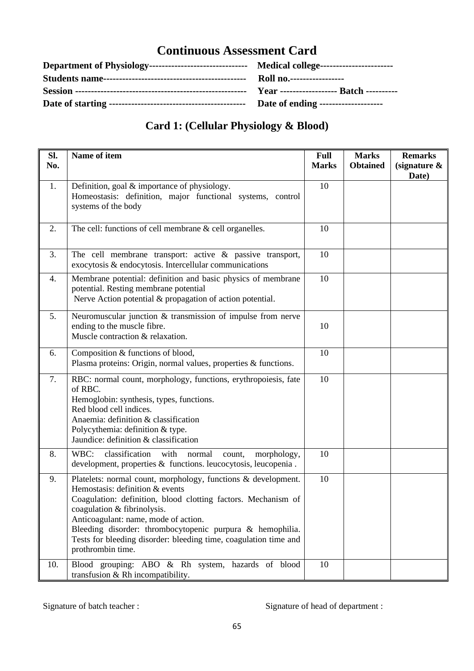| <b>Date of ending --------------------</b> |
|--------------------------------------------|

### **Card 1: (Cellular Physiology & Blood)**

| Sl.<br>No. | Name of item                                                                                                                                                                                                                                                                                                                                                                                   | <b>Full</b><br><b>Marks</b> | <b>Marks</b><br><b>Obtained</b> | <b>Remarks</b><br>(signature $\&$ |
|------------|------------------------------------------------------------------------------------------------------------------------------------------------------------------------------------------------------------------------------------------------------------------------------------------------------------------------------------------------------------------------------------------------|-----------------------------|---------------------------------|-----------------------------------|
|            |                                                                                                                                                                                                                                                                                                                                                                                                |                             |                                 | Date)                             |
| 1.         | Definition, goal & importance of physiology.<br>Homeostasis: definition, major functional systems, control<br>systems of the body                                                                                                                                                                                                                                                              | 10                          |                                 |                                   |
| 2.         | The cell: functions of cell membrane $&$ cell organelles.                                                                                                                                                                                                                                                                                                                                      | 10                          |                                 |                                   |
| 3.         | The cell membrane transport: active $\&$ passive transport,<br>exocytosis & endocytosis. Intercellular communications                                                                                                                                                                                                                                                                          | 10                          |                                 |                                   |
| 4.         | Membrane potential: definition and basic physics of membrane<br>potential. Resting membrane potential<br>Nerve Action potential & propagation of action potential.                                                                                                                                                                                                                             | 10                          |                                 |                                   |
| 5.         | Neuromuscular junction $\&$ transmission of impulse from nerve<br>ending to the muscle fibre.<br>Muscle contraction & relaxation.                                                                                                                                                                                                                                                              | 10                          |                                 |                                   |
| 6.         | Composition & functions of blood,<br>Plasma proteins: Origin, normal values, properties & functions.                                                                                                                                                                                                                                                                                           | 10                          |                                 |                                   |
| 7.         | RBC: normal count, morphology, functions, erythropoiesis, fate<br>of RBC.<br>Hemoglobin: synthesis, types, functions.<br>Red blood cell indices.<br>Anaemia: definition & classification<br>Polycythemia: definition & type.<br>Jaundice: definition & classification                                                                                                                          | 10                          |                                 |                                   |
| 8.         | classification with<br>WBC:<br>normal<br>morphology,<br>count,<br>development, properties & functions. leucocytosis, leucopenia.                                                                                                                                                                                                                                                               | 10                          |                                 |                                   |
| 9.         | Platelets: normal count, morphology, functions & development.<br>Hemostasis: definition & events<br>Coagulation: definition, blood clotting factors. Mechanism of<br>coagulation & fibrinolysis.<br>Anticoagulant: name, mode of action.<br>Bleeding disorder: thrombocytopenic purpura & hemophilia.<br>Tests for bleeding disorder: bleeding time, coagulation time and<br>prothrombin time. | 10                          |                                 |                                   |
| 10.        | Blood grouping: ABO & Rh system, hazards of blood<br>transfusion $& Rh$ incompatibility.                                                                                                                                                                                                                                                                                                       | 10                          |                                 |                                   |

#### Signature of batch teacher : Signature of head of department :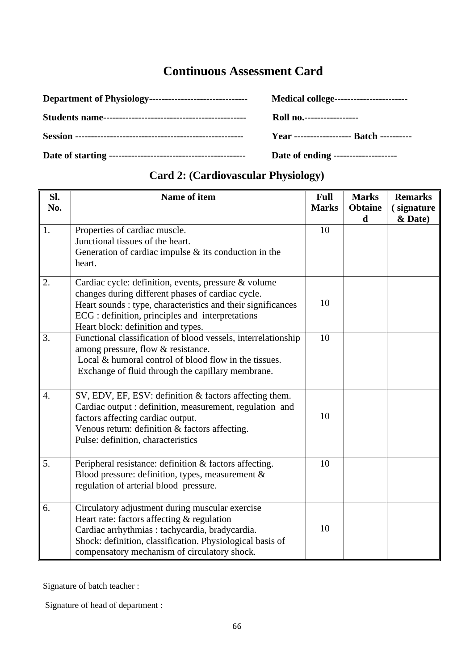| Medical college------------------------          |
|--------------------------------------------------|
| <b>Roll no.</b>                                  |
| <b>Year ------------------- Batch ----------</b> |
| Date of ending --------------------              |

| Sl.              | Name of item                                                                                                                                                                                                                                                        | <b>Full</b>  | <b>Marks</b>        | <b>Remarks</b>        |
|------------------|---------------------------------------------------------------------------------------------------------------------------------------------------------------------------------------------------------------------------------------------------------------------|--------------|---------------------|-----------------------|
| No.              |                                                                                                                                                                                                                                                                     | <b>Marks</b> | <b>Obtaine</b><br>d | (signature<br>& Date) |
| 1.               | Properties of cardiac muscle.<br>Junctional tissues of the heart.<br>Generation of cardiac impulse $\&$ its conduction in the<br>heart.                                                                                                                             | 10           |                     |                       |
| 2.               | Cardiac cycle: definition, events, pressure & volume<br>changes during different phases of cardiac cycle.<br>Heart sounds : type, characteristics and their significances<br>ECG : definition, principles and interpretations<br>Heart block: definition and types. | 10           |                     |                       |
| 3.               | Functional classification of blood vessels, interrelationship<br>among pressure, flow & resistance.<br>Local & humoral control of blood flow in the tissues.<br>Exchange of fluid through the capillary membrane.                                                   | 10           |                     |                       |
| $\overline{4}$ . | SV, EDV, EF, ESV: definition & factors affecting them.<br>Cardiac output : definition, measurement, regulation and<br>factors affecting cardiac output.<br>Venous return: definition & factors affecting.<br>Pulse: definition, characteristics                     | 10           |                     |                       |
| 5.               | Peripheral resistance: definition & factors affecting.<br>Blood pressure: definition, types, measurement &<br>regulation of arterial blood pressure.                                                                                                                | 10           |                     |                       |
| 6.               | Circulatory adjustment during muscular exercise<br>Heart rate: factors affecting & regulation<br>Cardiac arrhythmias : tachycardia, bradycardia.<br>Shock: definition, classification. Physiological basis of<br>compensatory mechanism of circulatory shock.       | 10           |                     |                       |

### **Card 2: (Cardiovascular Physiology)**

Signature of batch teacher :

Signature of head of department :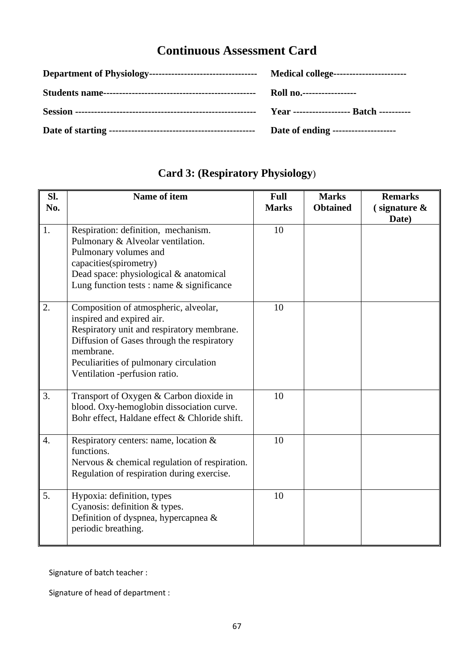| <b>Roll no.-----------------</b>     |
|--------------------------------------|
|                                      |
| Date of ending --------------------- |

| Sl.                | Name of item                                                                                                                                                                                                                                           | <b>Full</b>  | <b>Marks</b>    | <b>Remarks</b>                     |
|--------------------|--------------------------------------------------------------------------------------------------------------------------------------------------------------------------------------------------------------------------------------------------------|--------------|-----------------|------------------------------------|
| No.                |                                                                                                                                                                                                                                                        | <b>Marks</b> | <b>Obtained</b> | $\epsilon$ signature $\&$<br>Date) |
| 1.                 | Respiration: definition, mechanism.<br>Pulmonary & Alveolar ventilation.<br>Pulmonary volumes and<br>capacities(spirometry)<br>Dead space: physiological & anatomical<br>Lung function tests : name $&$ significance                                   | 10           |                 |                                    |
| 2.                 | Composition of atmospheric, alveolar,<br>inspired and expired air.<br>Respiratory unit and respiratory membrane.<br>Diffusion of Gases through the respiratory<br>membrane.<br>Peculiarities of pulmonary circulation<br>Ventilation -perfusion ratio. | 10           |                 |                                    |
| 3.                 | Transport of Oxygen & Carbon dioxide in<br>blood. Oxy-hemoglobin dissociation curve.<br>Bohr effect, Haldane effect & Chloride shift.                                                                                                                  | 10           |                 |                                    |
| $\boldsymbol{4}$ . | Respiratory centers: name, location $\&$<br>functions.<br>Nervous & chemical regulation of respiration.<br>Regulation of respiration during exercise.                                                                                                  | 10           |                 |                                    |
| 5.                 | Hypoxia: definition, types<br>Cyanosis: definition & types.<br>Definition of dyspnea, hypercapnea $\&$<br>periodic breathing.                                                                                                                          | 10           |                 |                                    |

## **Card 3: (Respiratory Physiology**)

Signature of batch teacher :

Signature of head of department :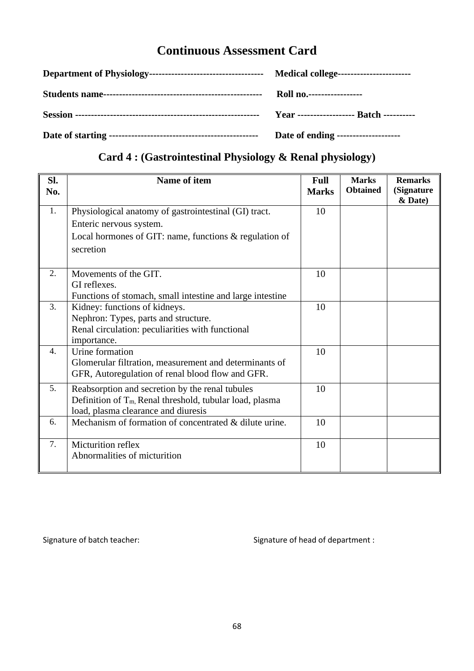| Year ------------------- Batch ---------- |
|-------------------------------------------|
| Date of ending --------------------       |

### **Card 4 : (Gastrointestinal Physiology & Renal physiology)**

| SI.<br>No. | <b>Name of item</b>                                         | <b>Full</b><br><b>Marks</b> | <b>Marks</b><br><b>Obtained</b> | <b>Remarks</b><br>(Signature<br>& Date) |
|------------|-------------------------------------------------------------|-----------------------------|---------------------------------|-----------------------------------------|
| 1.         | Physiological anatomy of gastrointestinal (GI) tract.       | 10                          |                                 |                                         |
|            | Enteric nervous system.                                     |                             |                                 |                                         |
|            | Local hormones of GIT: name, functions $\&$ regulation of   |                             |                                 |                                         |
|            | secretion                                                   |                             |                                 |                                         |
| 2.         | Movements of the GIT.                                       | 10                          |                                 |                                         |
|            | GI reflexes.                                                |                             |                                 |                                         |
|            | Functions of stomach, small intestine and large intestine   |                             |                                 |                                         |
| 3.         | Kidney: functions of kidneys.                               | 10                          |                                 |                                         |
|            | Nephron: Types, parts and structure.                        |                             |                                 |                                         |
|            | Renal circulation: peculiarities with functional            |                             |                                 |                                         |
|            | importance.                                                 |                             |                                 |                                         |
| 4.         | Urine formation                                             | 10                          |                                 |                                         |
|            | Glomerular filtration, measurement and determinants of      |                             |                                 |                                         |
|            | GFR, Autoregulation of renal blood flow and GFR.            |                             |                                 |                                         |
| 5.         | Reabsorption and secretion by the renal tubules             | 10                          |                                 |                                         |
|            | Definition of $T_m$ , Renal threshold, tubular load, plasma |                             |                                 |                                         |
|            | load, plasma clearance and diuresis                         |                             |                                 |                                         |
| 6.         | Mechanism of formation of concentrated & dilute urine.      | 10                          |                                 |                                         |
| 7.         | Micturition reflex                                          | 10                          |                                 |                                         |
|            | Abnormalities of micturition                                |                             |                                 |                                         |

Signature of batch teacher: Signature of head of department :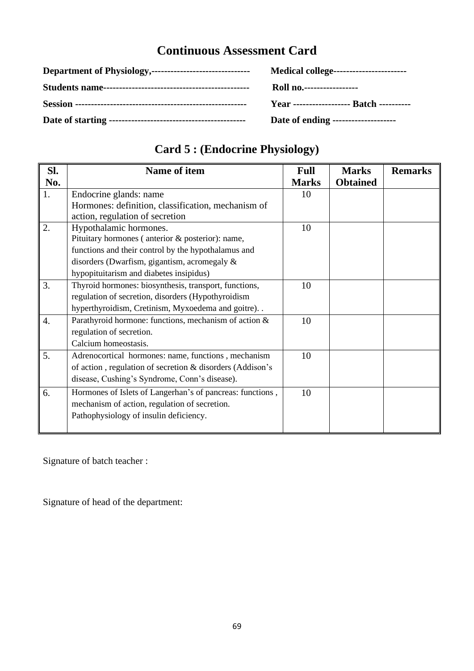| Medical college-----------------------           |
|--------------------------------------------------|
| Roll no                                          |
| <b>Year</b> ------------------- Batch ---------- |
| Date of ending --------------------              |

## **Card 5 : (Endocrine Physiology)**

| SI. | <b>Name of item</b>                                       | <b>Full</b>  | <b>Marks</b>    | <b>Remarks</b> |
|-----|-----------------------------------------------------------|--------------|-----------------|----------------|
| No. |                                                           | <b>Marks</b> | <b>Obtained</b> |                |
| 1.  | Endocrine glands: name                                    | 10           |                 |                |
|     | Hormones: definition, classification, mechanism of        |              |                 |                |
|     | action, regulation of secretion                           |              |                 |                |
| 2.  | Hypothalamic hormones.                                    | 10           |                 |                |
|     | Pituitary hormones (anterior & posterior): name,          |              |                 |                |
|     | functions and their control by the hypothalamus and       |              |                 |                |
|     | disorders (Dwarfism, gigantism, acromegaly $\&$           |              |                 |                |
|     | hypopituitarism and diabetes insipidus)                   |              |                 |                |
| 3.  | Thyroid hormones: biosynthesis, transport, functions,     | 10           |                 |                |
|     | regulation of secretion, disorders (Hypothyroidism        |              |                 |                |
|     | hyperthyroidism, Cretinism, Myxoedema and goitre). .      |              |                 |                |
| 4.  | Parathyroid hormone: functions, mechanism of action &     | 10           |                 |                |
|     | regulation of secretion.                                  |              |                 |                |
|     | Calcium homeostasis.                                      |              |                 |                |
| 5.  | Adrenocortical hormones: name, functions, mechanism       | 10           |                 |                |
|     | of action, regulation of secretion & disorders (Addison's |              |                 |                |
|     | disease, Cushing's Syndrome, Conn's disease).             |              |                 |                |
| 6.  | Hormones of Islets of Langerhan's of pancreas: functions, | 10           |                 |                |
|     | mechanism of action, regulation of secretion.             |              |                 |                |
|     | Pathophysiology of insulin deficiency.                    |              |                 |                |
|     |                                                           |              |                 |                |

Signature of batch teacher :

Signature of head of the department: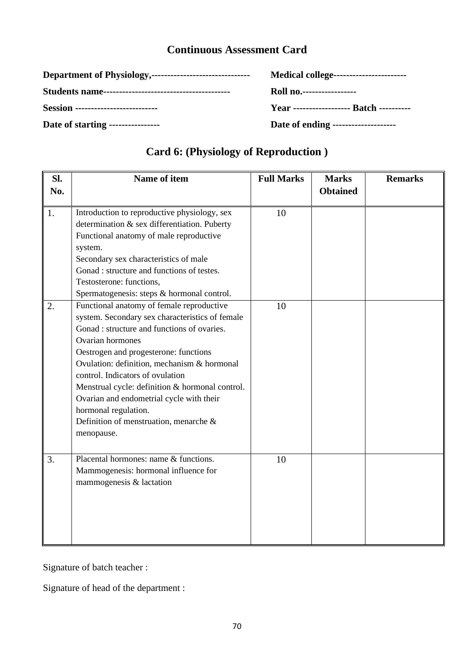|                                           | Medical college-----------------------           |
|-------------------------------------------|--------------------------------------------------|
|                                           | Roll no                                          |
| <b>Session</b> -------------------------- | <b>Year</b> ------------------- Batch ---------- |
| Date of starting -----------------        | Date of ending ---------------------             |

### **Card 6: (Physiology of Reproduction )**

| Sl. | Name of item                                    | <b>Full Marks</b> | <b>Marks</b>    | <b>Remarks</b> |
|-----|-------------------------------------------------|-------------------|-----------------|----------------|
| No. |                                                 |                   | <b>Obtained</b> |                |
|     |                                                 |                   |                 |                |
| 1.  | Introduction to reproductive physiology, sex    | 10                |                 |                |
|     | determination & sex differentiation. Puberty    |                   |                 |                |
|     | Functional anatomy of male reproductive         |                   |                 |                |
|     | system.                                         |                   |                 |                |
|     | Secondary sex characteristics of male           |                   |                 |                |
|     | Gonad : structure and functions of testes.      |                   |                 |                |
|     | Testosterone: functions,                        |                   |                 |                |
|     | Spermatogenesis: steps & hormonal control.      |                   |                 |                |
| 2.  | Functional anatomy of female reproductive       | 10                |                 |                |
|     | system. Secondary sex characteristics of female |                   |                 |                |
|     | Gonad : structure and functions of ovaries.     |                   |                 |                |
|     | Ovarian hormones                                |                   |                 |                |
|     | Oestrogen and progesterone: functions           |                   |                 |                |
|     | Ovulation: definition, mechanism & hormonal     |                   |                 |                |
|     | control. Indicators of ovulation                |                   |                 |                |
|     | Menstrual cycle: definition & hormonal control. |                   |                 |                |
|     | Ovarian and endometrial cycle with their        |                   |                 |                |
|     | hormonal regulation.                            |                   |                 |                |
|     | Definition of menstruation, menarche $\&$       |                   |                 |                |
|     | menopause.                                      |                   |                 |                |
|     |                                                 |                   |                 |                |
| 3.  | Placental hormones: name & functions.           | 10                |                 |                |
|     | Mammogenesis: hormonal influence for            |                   |                 |                |
|     | mammogenesis & lactation                        |                   |                 |                |
|     |                                                 |                   |                 |                |
|     |                                                 |                   |                 |                |
|     |                                                 |                   |                 |                |
|     |                                                 |                   |                 |                |
|     |                                                 |                   |                 |                |

Signature of batch teacher :

Signature of head of the department :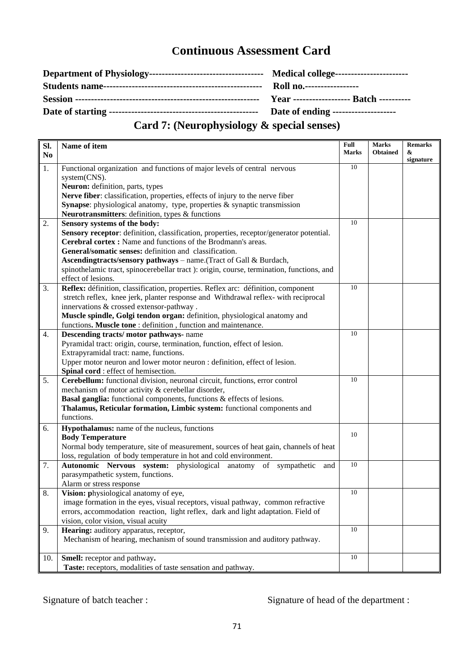| <b>Roll no.------------------</b>   |
|-------------------------------------|
|                                     |
| Date of ending -------------------- |

### **Card 7: (Neurophysiology & special senses)**

| SI.            | Name of item                                                                                                                                                   | Full<br><b>Marks</b> | <b>Marks</b><br><b>Obtained</b> | <b>Remarks</b><br>& |
|----------------|----------------------------------------------------------------------------------------------------------------------------------------------------------------|----------------------|---------------------------------|---------------------|
| N <sub>0</sub> |                                                                                                                                                                |                      |                                 | signature           |
| 1.             | Functional organization and functions of major levels of central nervous                                                                                       | 10                   |                                 |                     |
|                | system(CNS).                                                                                                                                                   |                      |                                 |                     |
|                | Neuron: definition, parts, types                                                                                                                               |                      |                                 |                     |
|                | Nerve fiber: classification, properties, effects of injury to the nerve fiber                                                                                  |                      |                                 |                     |
|                | Synapse: physiological anatomy, type, properties $\&$ synaptic transmission                                                                                    |                      |                                 |                     |
|                | Neurotransmitters: definition, types & functions                                                                                                               |                      |                                 |                     |
| 2.             | Sensory systems of the body:                                                                                                                                   | 10                   |                                 |                     |
|                | Sensory receptor: definition, classification, properties, receptor/generator potential.                                                                        |                      |                                 |                     |
|                | Cerebral cortex : Name and functions of the Brodmann's areas.<br>General/somatic senses: definition and classification.                                        |                      |                                 |                     |
|                |                                                                                                                                                                |                      |                                 |                     |
|                | Ascendingtracts/sensory pathways - name. (Tract of Gall & Burdach,<br>spinothelamic tract, spinocerebellar tract): origin, course, termination, functions, and |                      |                                 |                     |
|                | effect of lesions.                                                                                                                                             |                      |                                 |                     |
| 3.             | Reflex: définition, classification, properties. Reflex arc: définition, component                                                                              | 10                   |                                 |                     |
|                | stretch reflex, knee jerk, planter response and Withdrawal reflex- with reciprocal                                                                             |                      |                                 |                     |
|                | innervations & crossed extensor-pathway.                                                                                                                       |                      |                                 |                     |
|                | Muscle spindle, Golgi tendon organ: definition, physiological anatomy and                                                                                      |                      |                                 |                     |
|                | functions. Muscle tone : definition, function and maintenance.                                                                                                 |                      |                                 |                     |
| 4.             | Descending tracts/motor pathways- name                                                                                                                         | 10                   |                                 |                     |
|                | Pyramidal tract: origin, course, termination, function, effect of lesion.                                                                                      |                      |                                 |                     |
|                | Extrapyramidal tract: name, functions.                                                                                                                         |                      |                                 |                     |
|                | Upper motor neuron and lower motor neuron : definition, effect of lesion.                                                                                      |                      |                                 |                     |
|                | Spinal cord : effect of hemisection.                                                                                                                           |                      |                                 |                     |
| 5.             | Cerebellum: functional division, neuronal circuit, functions, error control                                                                                    | 10                   |                                 |                     |
|                | mechanism of motor activity & cerebellar disorder,                                                                                                             |                      |                                 |                     |
|                | <b>Basal ganglia:</b> functional components, functions & effects of lesions.                                                                                   |                      |                                 |                     |
|                | Thalamus, Reticular formation, Limbic system: functional components and                                                                                        |                      |                                 |                     |
|                | functions.                                                                                                                                                     |                      |                                 |                     |
| 6.             | Hypothalamus: name of the nucleus, functions                                                                                                                   | 10                   |                                 |                     |
|                | <b>Body Temperature</b>                                                                                                                                        |                      |                                 |                     |
|                | Normal body temperature, site of measurement, sources of heat gain, channels of heat                                                                           |                      |                                 |                     |
|                | loss, regulation of body temperature in hot and cold environment.                                                                                              |                      |                                 |                     |
| 7.             | Autonomic Nervous system: physiological anatomy of sympathetic and                                                                                             | 10                   |                                 |                     |
|                | parasympathetic system, functions.                                                                                                                             |                      |                                 |                     |
|                | Alarm or stress response                                                                                                                                       | 10                   |                                 |                     |
| 8.             | Vision: physiological anatomy of eye,                                                                                                                          |                      |                                 |                     |
|                | image formation in the eyes, visual receptors, visual pathway, common refractive                                                                               |                      |                                 |                     |
|                | errors, accommodation reaction, light reflex, dark and light adaptation. Field of<br>vision, color vision, visual acuity                                       |                      |                                 |                     |
| 9.             | Hearing: auditory apparatus, receptor,                                                                                                                         | 10                   |                                 |                     |
|                | Mechanism of hearing, mechanism of sound transmission and auditory pathway.                                                                                    |                      |                                 |                     |
|                |                                                                                                                                                                |                      |                                 |                     |
|                |                                                                                                                                                                | 10                   |                                 |                     |
|                |                                                                                                                                                                |                      |                                 |                     |
| 10.            | Smell: receptor and pathway.<br>Taste: receptors, modalities of taste sensation and pathway.                                                                   |                      |                                 |                     |

Signature of batch teacher : Signature of head of the department :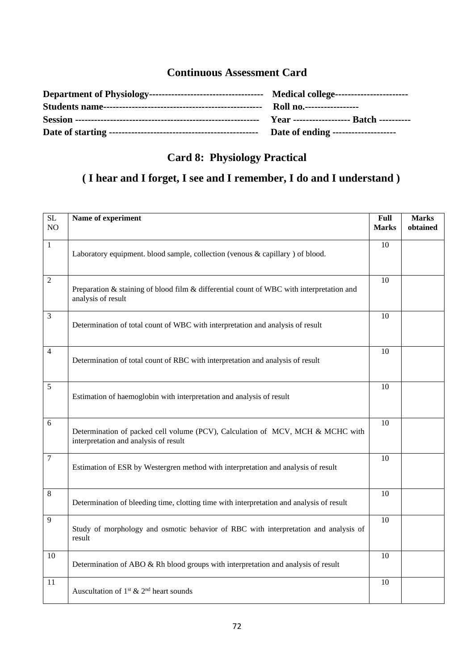| Date of ending -------------------- |
|-------------------------------------|

### **Card 8: Physiology Practical**

### **( I hear and I forget, I see and I remember, I do and I understand )**

| $\overline{SL}$<br>NO | Name of experiment                                                                                                      | Full<br><b>Marks</b> | <b>Marks</b><br>obtained |
|-----------------------|-------------------------------------------------------------------------------------------------------------------------|----------------------|--------------------------|
| $\mathbf{1}$          | Laboratory equipment. blood sample, collection (venous & capillary ) of blood.                                          | 10                   |                          |
| $\mathbf{2}$          | Preparation & staining of blood film & differential count of WBC with interpretation and<br>analysis of result          | 10                   |                          |
| $\overline{3}$        | Determination of total count of WBC with interpretation and analysis of result                                          | 10                   |                          |
| $\overline{4}$        | Determination of total count of RBC with interpretation and analysis of result                                          | 10                   |                          |
| 5                     | Estimation of haemoglobin with interpretation and analysis of result                                                    | 10                   |                          |
| 6                     | Determination of packed cell volume (PCV), Calculation of MCV, MCH & MCHC with<br>interpretation and analysis of result | 10                   |                          |
| $\boldsymbol{7}$      | Estimation of ESR by Westergren method with interpretation and analysis of result                                       | 10                   |                          |
| $\overline{8}$        | Determination of bleeding time, clotting time with interpretation and analysis of result                                | 10                   |                          |
| 9                     | Study of morphology and osmotic behavior of RBC with interpretation and analysis of<br>result                           | 10                   |                          |
| 10                    | Determination of ABO & Rh blood groups with interpretation and analysis of result                                       | 10                   |                          |
| 11                    | Auscultation of $1st$ & $2nd$ heart sounds                                                                              | 10                   |                          |